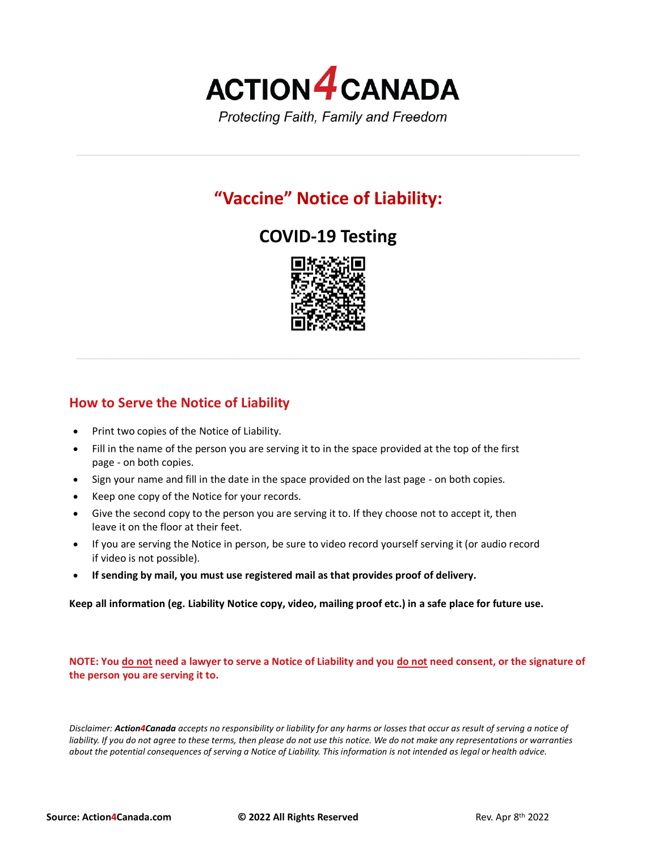

## **"Vaccine" Notice of Liability:**

## **COVID-19 Testing**



## **How to Serve the Notice of Liability**

- Print two copies of the Notice of Liability.
- Fill in the name of the person you are serving it to in the space provided at the top of the first page - on both copies.
- Sign your name and fill in the date in the space provided on the last page on both copies.
- Keep one copy of the Notice for your records.
- Give the second copy to the person you are serving it to. If they choose not to accept it, then leave it on the floor at their feet.
- If you are serving the Notice in person, be sure to video record yourself serving it (or audio record if video is not possible).
- **If sending by mail, you must use registered mail as that provides proof of delivery.**

**Keep all information (eg. Liability Notice copy, video, mailing proof etc.) in a safe place for future use.**

**NOTE: You do not need a lawyer to serve a Notice of Liability and you do not need consent, or the signature of the person you are serving it to.**

*Disclaimer: Action4Canada accepts no responsibility or liability for any harms or losses that occur as result of serving a notice of*  liability. If you do not agree to these terms, then please do not use this notice. We do not make any representations or warranties *about the potential consequences of serving a Notice of Liability. This information is not intended as legal or health advice.*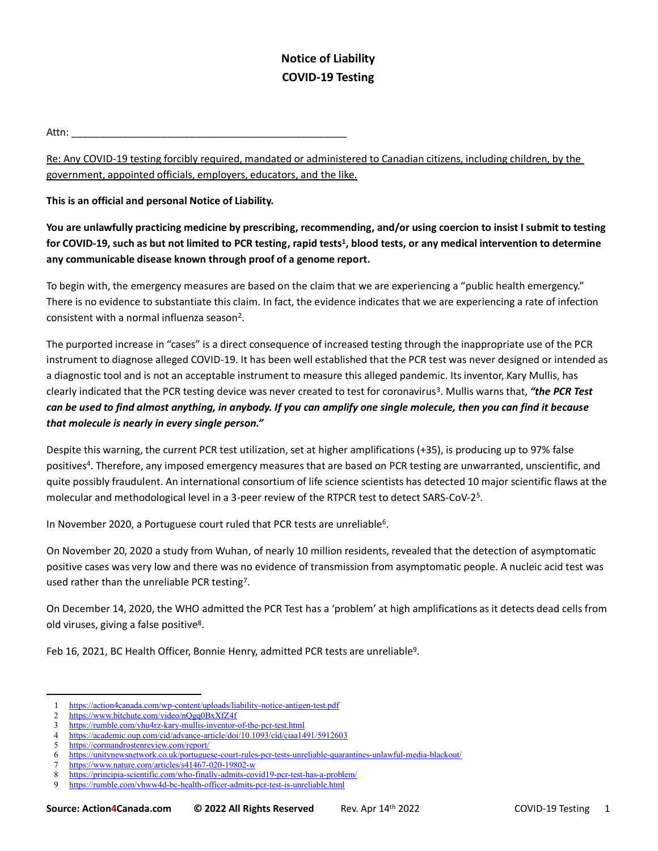## **Notice of Liability COVID-19 Testing**

Attn: \_\_\_\_\_\_\_\_\_\_\_\_\_\_\_\_\_\_\_\_\_\_\_\_\_\_\_\_\_\_\_\_\_\_\_\_\_\_\_\_\_\_\_\_\_\_\_\_\_

Re: Any COVID-19 testing forcibly required, mandated or administered to Canadian citizens, including children, by the government, appointed officials, employers, educators, and the like.

**This is an official and personal Notice of Liability.**

**You are unlawfully practicing medicine by prescribing, recommending, and/or using coercion to insist I submit to testing for COVID-19, such as but not limited to PCR testing, rapid tests<sup>1</sup> , blood tests, or any medical intervention to determine any communicable disease known through proof of a genome report.**

To begin with, the emergency measures are based on the claim that we are experiencing a "public health emergency." There is no evidence to substantiate this claim. In fact, the evidence indicates that we are experiencing a rate of infection consistent with a normal influenza season<sup>2</sup>.

The purported increase in "cases" is a direct consequence of increased testing through the inappropriate use of the PCR instrument to diagnose alleged COVID-19. It has been well established that the PCR test was never designed or intended as a diagnostic tool and is not an acceptable instrument to measure this alleged pandemic. Its inventor, Kary Mullis, has clearly indicated that the PCR testing device was never created to test for coronavirus<sup>3</sup>. Mullis warns that, "the PCR Test *can be used to find almost anything, in anybody. If you can amplify one single molecule, then you can find it because that molecule is nearly in every single person."* 

Despite this warning, the current PCR test utilization, set at higher amplifications (+35), is producing up to 97% false positives<sup>4</sup> . Therefore, any imposed emergency measures that are based on PCR testing are unwarranted, unscientific, and quite possibly fraudulent. An international consortium of life science scientists has detected 10 major scientific flaws at the molecular and methodological level in a 3-peer review of the RTPCR test to detect SARS-CoV-2<sup>5</sup>.

In November 2020, a Portuguese court ruled that PCR tests are unreliable<sup>6</sup>.

On November 20, 2020 a study from Wuhan, of nearly 10 million residents, revealed that the detection of asymptomatic positive cases was very low and there was no evidence of transmission from asymptomatic people. A nucleic acid test was used rather than the unreliable PCR testing<sup>7</sup>.

On December 14, 2020, the WHO admitted the PCR Test has a 'problem' at high amplifications as it detects dead cells from old viruses, giving a false positive<sup>8</sup>.

Feb 16, 2021, BC Health Officer, Bonnie Henry, admitted PCR tests are unreliable<sup>9</sup>.

<sup>1</sup> <https://action4canada.com/wp-content/uploads/liability-notice-antigen-test.pdf><br>2 https://www.bitchute.com/video/nOgq0BxXf74f

<https://www.bitchute.com/video/nQgq0BxXfZ4f>

<sup>3</sup> <https://rumble.com/vhu4rz-kary-mullis-inventor-of-the-pcr-test.html>

<sup>4</sup> <https://academic.oup.com/cid/advance-article/doi/10.1093/cid/ciaa1491/5912603>

<sup>5</sup> <https://cormandrostenreview.com/report/>

<sup>6</sup> <https://unitynewsnetwork.co.uk/portuguese-court-rules-pcr-tests-unreliable-quarantines-unlawful-media-blackout/>

<sup>7</sup> <https://www.nature.com/articles/s41467-020-19802-w>

<sup>8</sup> <https://principia-scientific.com/who-finally-admits-covid19-pcr-test-has-a-problem/>

<sup>9</sup> <https://rumble.com/vhww4d-bc-health-officer-admits-pcr-test-is-unreliable.html>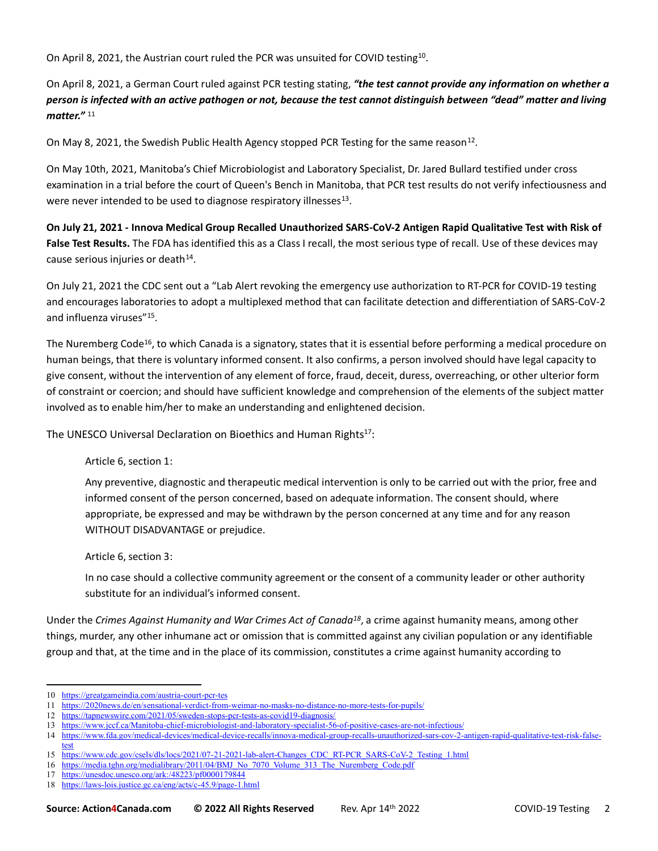On April 8, 2021, the Austrian court ruled the PCR was unsuited for COVID testing<sup>10</sup>.

On April 8, 2021, a German Court ruled against PCR testing stating, *"the test cannot provide any information on whether a person is infected with an active pathogen or not, because the test cannot distinguish between "dead" matter and living matter."* <sup>11</sup>

On May 8, 2021, the Swedish Public Health Agency stopped PCR Testing for the same reason<sup>12</sup>.

On May 10th, 2021, Manitoba's Chief Microbiologist and Laboratory Specialist, Dr. Jared Bullard testified under cross examination in a trial before the court of Queen's Bench in Manitoba, that PCR test results do not verify infectiousness and were never intended to be used to diagnose respiratory illnesses $^{13}$ .

**On July 21, 2021 - Innova Medical Group Recalled Unauthorized SARS-CoV-2 Antigen Rapid Qualitative Test with Risk of False Test Results.** The FDA has identified this as a Class I recall, the most serious type of recall. Use of these devices may cause serious injuries or death<sup>14</sup>.

On July 21, 2021 the CDC sent out a "Lab Alert revoking the emergency use authorization to RT-PCR for COVID-19 testing and encourages laboratories to adopt a multiplexed method that can facilitate detection and differentiation of SARS-CoV-2 and influenza viruses"<sup>15</sup> .

The Nuremberg Code<sup>16</sup>, to which Canada is a signatory, states that it is essential before performing a medical procedure on human beings, that there is voluntary informed consent. It also confirms, a person involved should have legal capacity to give consent, without the intervention of any element of force, fraud, deceit, duress, overreaching, or other ulterior form of constraint or coercion; and should have sufficient knowledge and comprehension of the elements of the subject matter involved as to enable him/her to make an understanding and enlightened decision.

The UNESCO Universal Declaration on Bioethics and Human Rights $17$ :

Article 6, section 1:

Any preventive, diagnostic and therapeutic medical intervention is only to be carried out with the prior, free and informed consent of the person concerned, based on adequate information. The consent should, where appropriate, be expressed and may be withdrawn by the person concerned at any time and for any reason WITHOUT DISADVANTAGE or prejudice.

Article 6, section 3:

In no case should a collective community agreement or the consent of a community leader or other authority substitute for an individual's informed consent.

Under the *Crimes Against Humanity and War Crimes Act of Canada<sup>18</sup>*, a crime against humanity means, among other things, murder, any other inhumane act or omission that is committed against any civilian population or any identifiable group and that, at the time and in the place of its commission, constitutes a crime against humanity according to

<sup>10</sup> <https://greatgameindia.com/austria-court-pcr-tes>

<sup>11</sup> <https://2020news.de/en/sensational-verdict-from-weimar-no-masks-no-distance-no-more-tests-for-pupils/>

<sup>12</sup> <https://tapnewswire.com/2021/05/sweden-stops-pcr-tests-as-covid19-diagnosis/>

<sup>13</sup> <https://www.jccf.ca/Manitoba-chief-microbiologist-and-laboratory-specialist-56-of-positive-cases-are-not-infectious/>

<sup>14</sup> [https://www.fda.gov/medical-devices/medical-device-recalls/innova-medical-group-recalls-unauthorized-sars-cov-2-antigen-rapid-qualitative-test-risk-false](https://www.fda.gov/medical-devices/medical-device-recalls/innova-medical-group-recalls-unauthorized-sars-cov-2-antigen-rapid-qualitative-test-risk-false-test)[test](https://www.fda.gov/medical-devices/medical-device-recalls/innova-medical-group-recalls-unauthorized-sars-cov-2-antigen-rapid-qualitative-test-risk-false-test)

<sup>15</sup> [https://www.cdc.gov/csels/dls/locs/2021/07-21-2021-lab-alert-Changes\\_CDC\\_RT-PCR\\_SARS-CoV-2\\_Testing\\_1.html](https://www.cdc.gov/csels/dls/locs/2021/07-21-2021-lab-alert-Changes_CDC_RT-PCR_SARS-CoV-2_Testing_1.html)

<sup>16</sup> [https://media.tghn.org/medialibrary/2011/04/BMJ\\_No\\_7070\\_Volume\\_313\\_The\\_Nuremberg\\_Code.pdf](https://media.tghn.org/medialibrary/2011/04/BMJ_No_7070_Volume_313_The_Nuremberg_Code.pdf)

<sup>17</sup> <https://unesdoc.unesco.org/ark:/48223/pf0000179844>

<sup>18</sup> <https://laws-lois.justice.gc.ca/eng/acts/c-45.9/page-1.html>